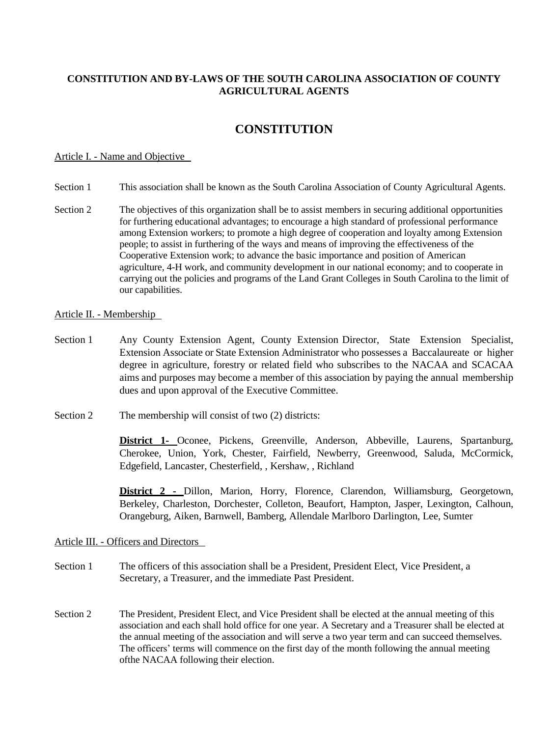# **CONSTITUTION AND BY-LAWS OF THE SOUTH CAROLINA ASSOCIATION OF COUNTY AGRICULTURAL AGENTS**

# **CONSTITUTION**

#### Article I. - Name and Objective

- Section 1 This association shall be known as the South Carolina Association of County Agricultural Agents.
- Section 2 The objectives of this organization shall be to assist members in securing additional opportunities for furthering educational advantages; to encourage a high standard of professional performance among Extension workers; to promote a high degree of cooperation and loyalty among Extension people; to assist in furthering of the ways and means of improving the effectiveness of the Cooperative Extension work; to advance the basic importance and position of American agriculture, 4-H work, and community development in our national economy; and to cooperate in carrying out the policies and programs of the Land Grant Colleges in South Carolina to the limit of our capabilities.

### Article II. - Membership

- Section 1 Any County Extension Agent, County Extension Director, State Extension Specialist, Extension Associate or State Extension Administrator who possesses a Baccalaureate or higher degree in agriculture, forestry or related field who subscribes to the NACAA and SCACAA aims and purposes may become a member of this association by paying the annual membership dues and upon approval of the Executive Committee.
- Section 2 The membership will consist of two (2) districts:

**District 1-** Oconee, Pickens, Greenville, Anderson, Abbeville, Laurens, Spartanburg, Cherokee, Union, York, Chester, Fairfield, Newberry, Greenwood, Saluda, McCormick, Edgefield, Lancaster, Chesterfield, , Kershaw, , Richland

**District 2 -** Dillon, Marion, Horry, Florence, Clarendon, Williamsburg, Georgetown, Berkeley, Charleston, Dorchester, Colleton, Beaufort, Hampton, Jasper, Lexington, Calhoun, Orangeburg, Aiken, Barnwell, Bamberg, Allendale Marlboro Darlington, Lee, Sumter

# Article III. - Officers and Directors

- Section 1 The officers of this association shall be a President, President Elect, Vice President, a Secretary, a Treasurer, and the immediate Past President.
- Section 2 The President, President Elect, and Vice President shall be elected at the annual meeting of this association and each shall hold office for one year. A Secretary and a Treasurer shall be elected at the annual meeting of the association and will serve a two year term and can succeed themselves. The officers' terms will commence on the first day of the month following the annual meeting ofthe NACAA following their election.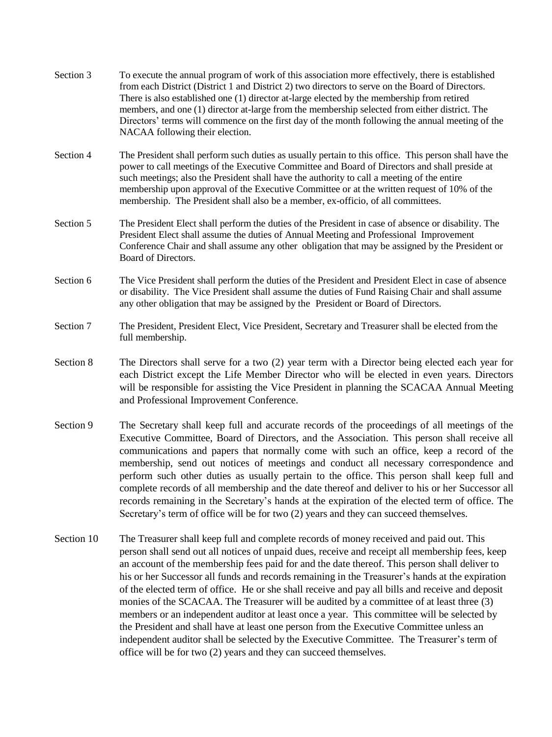| Section 3  | To execute the annual program of work of this association more effectively, there is established<br>from each District (District 1 and District 2) two directors to serve on the Board of Directors.<br>There is also established one (1) director at-large elected by the membership from retired<br>members, and one (1) director at-large from the membership selected from either district. The<br>Directors' terms will commence on the first day of the month following the annual meeting of the<br>NACAA following their election.                                                                                                                                                                                                                                   |
|------------|------------------------------------------------------------------------------------------------------------------------------------------------------------------------------------------------------------------------------------------------------------------------------------------------------------------------------------------------------------------------------------------------------------------------------------------------------------------------------------------------------------------------------------------------------------------------------------------------------------------------------------------------------------------------------------------------------------------------------------------------------------------------------|
| Section 4  | The President shall perform such duties as usually pertain to this office. This person shall have the<br>power to call meetings of the Executive Committee and Board of Directors and shall preside at<br>such meetings; also the President shall have the authority to call a meeting of the entire<br>membership upon approval of the Executive Committee or at the written request of 10% of the<br>membership. The President shall also be a member, ex-officio, of all committees.                                                                                                                                                                                                                                                                                      |
| Section 5  | The President Elect shall perform the duties of the President in case of absence or disability. The<br>President Elect shall assume the duties of Annual Meeting and Professional Improvement<br>Conference Chair and shall assume any other obligation that may be assigned by the President or<br>Board of Directors.                                                                                                                                                                                                                                                                                                                                                                                                                                                      |
| Section 6  | The Vice President shall perform the duties of the President and President Elect in case of absence<br>or disability. The Vice President shall assume the duties of Fund Raising Chair and shall assume<br>any other obligation that may be assigned by the President or Board of Directors.                                                                                                                                                                                                                                                                                                                                                                                                                                                                                 |
| Section 7  | The President, President Elect, Vice President, Secretary and Treasurer shall be elected from the<br>full membership.                                                                                                                                                                                                                                                                                                                                                                                                                                                                                                                                                                                                                                                        |
| Section 8  | The Directors shall serve for a two (2) year term with a Director being elected each year for<br>each District except the Life Member Director who will be elected in even years. Directors<br>will be responsible for assisting the Vice President in planning the SCACAA Annual Meeting<br>and Professional Improvement Conference.                                                                                                                                                                                                                                                                                                                                                                                                                                        |
| Section 9  | The Secretary shall keep full and accurate records of the proceedings of all meetings of the<br>Executive Committee, Board of Directors, and the Association. This person shall receive all<br>communications and papers that normally come with such an office, keep a record of the<br>membership, send out notices of meetings and conduct all necessary correspondence and<br>perform such other duties as usually pertain to the office. This person shall keep full and<br>complete records of all membership and the date thereof and deliver to his or her Successor all<br>records remaining in the Secretary's hands at the expiration of the elected term of office. The<br>Secretary's term of office will be for two (2) years and they can succeed themselves. |
| Section 10 | The Treasurer shall keep full and complete records of money received and paid out. This<br>person shall send out all notices of unpaid dues, receive and receipt all membership fees, keep<br>an account of the membership fees paid for and the date thereof. This person shall deliver to<br>his or her Successor all funds and records remaining in the Treasurer's hands at the expiration                                                                                                                                                                                                                                                                                                                                                                               |

of the elected term of office. He or she shall receive and pay all bills and receive and deposit monies of the SCACAA. The Treasurer will be audited by a committee of at least three (3) members or an independent auditor at least once a year. This committee will be selected by the President and shall have at least one person from the Executive Committee unless an independent auditor shall be selected by the Executive Committee. The Treasurer's term of office will be for two (2) years and they can succeed themselves.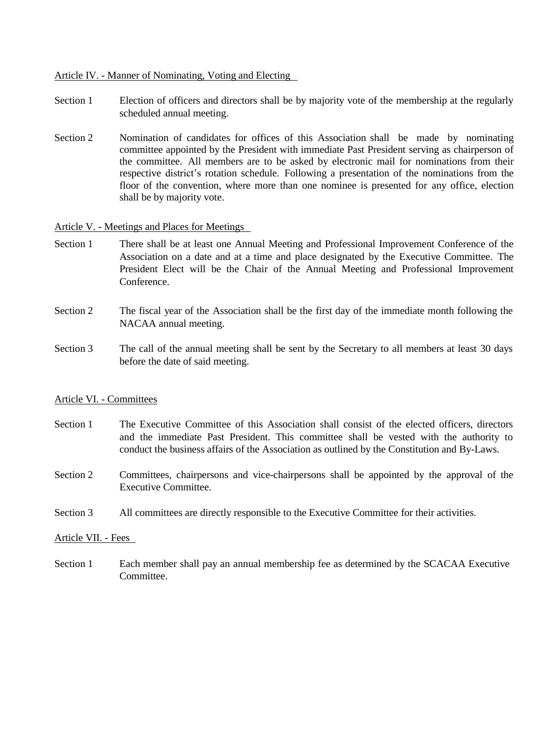### Article IV. - Manner of Nominating, Voting and Electing

- Section 1 Election of officers and directors shall be by majority vote of the membership at the regularly scheduled annual meeting.
- Section 2 Nomination of candidates for offices of this Association shall be made by nominating committee appointed by the President with immediate Past President serving as chairperson of the committee. All members are to be asked by electronic mail for nominations from their respective district's rotation schedule. Following a presentation of the nominations from the floor of the convention, where more than one nominee is presented for any office, election shall be by majority vote.

#### Article V. - Meetings and Places for Meetings

- Section 1 There shall be at least one Annual Meeting and Professional Improvement Conference of the Association on a date and at a time and place designated by the Executive Committee. The President Elect will be the Chair of the Annual Meeting and Professional Improvement Conference.
- Section 2 The fiscal year of the Association shall be the first day of the immediate month following the NACAA annual meeting.
- Section 3 The call of the annual meeting shall be sent by the Secretary to all members at least 30 days before the date of said meeting.

#### Article VI. - Committees

- Section 1 The Executive Committee of this Association shall consist of the elected officers, directors and the immediate Past President. This committee shall be vested with the authority to conduct the business affairs of the Association as outlined by the Constitution and By-Laws.
- Section 2 Committees, chairpersons and vice-chairpersons shall be appointed by the approval of the Executive Committee.
- Section 3 All committees are directly responsible to the Executive Committee for their activities.

#### Article VII. - Fees

Section 1 Each member shall pay an annual membership fee as determined by the SCACAA Executive Committee.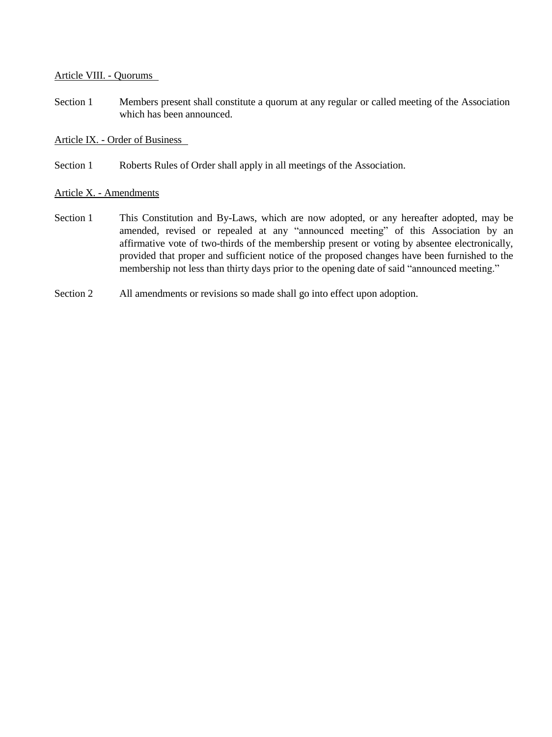# Article VIII. - Quorums

Section 1 Members present shall constitute a quorum at any regular or called meeting of the Association which has been announced.

Article IX. - Order of Business

Section 1 Roberts Rules of Order shall apply in all meetings of the Association.

# Article X. - Amendments

- Section 1 This Constitution and By-Laws, which are now adopted, or any hereafter adopted, may be amended, revised or repealed at any "announced meeting" of this Association by an affirmative vote of two-thirds of the membership present or voting by absentee electronically, provided that proper and sufficient notice of the proposed changes have been furnished to the membership not less than thirty days prior to the opening date of said "announced meeting."
- Section 2 All amendments or revisions so made shall go into effect upon adoption.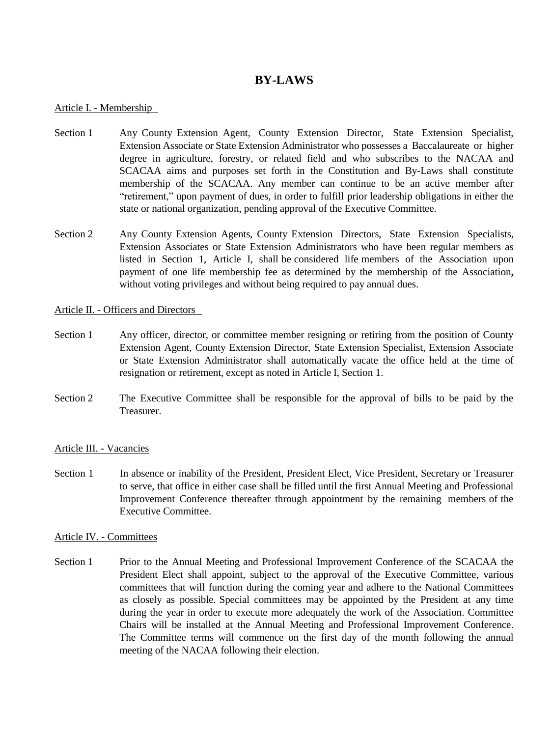# **BY-LAWS**

### Article I. - Membership

- Section 1 Any County Extension Agent, County Extension Director, State Extension Specialist, Extension Associate or State Extension Administrator who possesses a Baccalaureate or higher degree in agriculture, forestry, or related field and who subscribes to the NACAA and SCACAA aims and purposes set forth in the Constitution and By-Laws shall constitute membership of the SCACAA. Any member can continue to be an active member after "retirement," upon payment of dues, in order to fulfill prior leadership obligations in either the state or national organization, pending approval of the Executive Committee.
- Section 2 Any County Extension Agents, County Extension Directors, State Extension Specialists, Extension Associates or State Extension Administrators who have been regular members as listed in Section 1, Article I, shall be considered life members of the Association upon payment of one life membership fee as determined by the membership of the Association**,** without voting privileges and without being required to pay annual dues.

### Article II. - Officers and Directors

- Section 1 Any officer, director, or committee member resigning or retiring from the position of County Extension Agent, County Extension Director, State Extension Specialist, Extension Associate or State Extension Administrator shall automatically vacate the office held at the time of resignation or retirement, except as noted in Article I, Section 1.
- Section 2 The Executive Committee shall be responsible for the approval of bills to be paid by the Treasurer.

# Article III. - Vacancies

Section 1 In absence or inability of the President, President Elect, Vice President, Secretary or Treasurer to serve, that office in either case shall be filled until the first Annual Meeting and Professional Improvement Conference thereafter through appointment by the remaining members of the Executive Committee.

#### Article IV. - Committees

Section 1 Prior to the Annual Meeting and Professional Improvement Conference of the SCACAA the President Elect shall appoint, subject to the approval of the Executive Committee, various committees that will function during the coming year and adhere to the National Committees as closely as possible. Special committees may be appointed by the President at any time during the year in order to execute more adequately the work of the Association. Committee Chairs will be installed at the Annual Meeting and Professional Improvement Conference. The Committee terms will commence on the first day of the month following the annual meeting of the NACAA following their election.